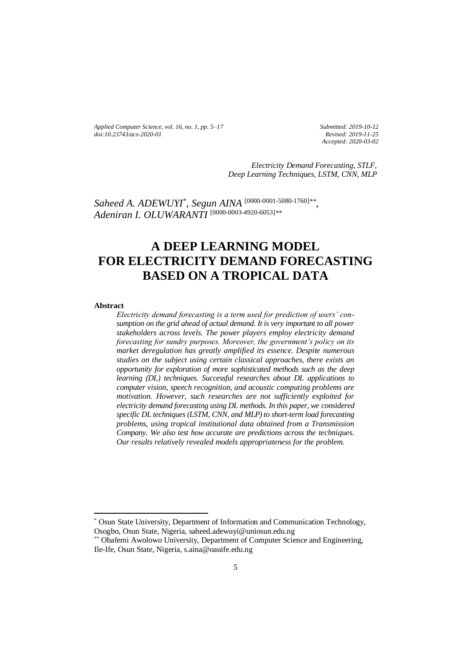*Applied Computer Science, vol. 16, no. 1, pp. 5–17 doi[:10.23743/acs-2020-01](http://acs.pollub.pl/pdf/v16n1/1.pdf)*

*Submitted: 2019-10-12 Revised: 2019-11-25 Accepted: 2020-03-02*

*Electricity Demand Forecasting, STLF, Deep Learning Techniques, LSTM, CNN, MLP*

*Saheed A. ADEWUYI*\* , *Segun AINA* [\[0000-0001-5080-1760\]](https://orcid.org/0000-0001-5080-1760)*\*\** , *Adeniran I. OLUWARANTI* [\[0000-0003-4920-6053\]](https://orcid.org/0000-0003-4920-6053)*\*\**

# **A DEEP LEARNING MODEL FOR ELECTRICITY DEMAND FORECASTING BASED ON A TROPICAL DATA**

#### **Abstract**

 $\overline{\phantom{a}}$ 

*Electricity demand forecasting is a term used for prediction of users' consumption on the grid ahead of actual demand. It is very important to all power stakeholders across levels. The power players employ electricity demand forecasting for sundry purposes. Moreover, the government's policy on its market deregulation has greatly amplified its essence. Despite numerous studies on the subject using certain classical approaches, there exists an opportunity for exploration of more sophisticated methods such as the deep learning (DL) techniques. Successful researches about DL applications to computer vision, speech recognition, and acoustic computing problems are motivation. However, such researches are not sufficiently exploited for electricity demand forecasting using DL methods. In this paper, we considered specific DL techniques (LSTM, CNN, and MLP) to short-term load forecasting problems, using tropical institutional data obtained from a Transmission Company. We also test how accurate are predictions across the techniques. Our results relatively revealed models appropriateness for the problem.*

\* Osun State University, Department of Information and Communication Technology, Osogbo, Osun State, Nigeria, saheed.adewuyi@uniosun.edu.ng

\*\* Obafemi Awolowo University, Department of Computer Science and Engineering, Ile-Ife, Osun State, Nigeria, s.aina@oauife.edu.ng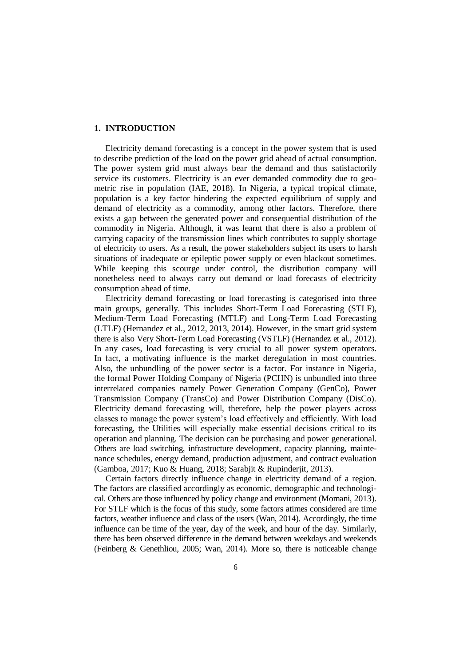## **1. INTRODUCTION**

Electricity demand forecasting is a concept in the power system that is used to describe prediction of the load on the power grid ahead of actual consumption. The power system grid must always bear the demand and thus satisfactorily service its customers. Electricity is an ever demanded commodity due to geometric rise in population (IAE, 2018). In Nigeria, a typical tropical climate, population is a key factor hindering the expected equilibrium of supply and demand of electricity as a commodity, among other factors. Therefore, there exists a gap between the generated power and consequential distribution of the commodity in Nigeria. Although, it was learnt that there is also a problem of carrying capacity of the transmission lines which contributes to supply shortage of electricity to users. As a result, the power stakeholders subject its users to harsh situations of inadequate or epileptic power supply or even blackout sometimes. While keeping this scourge under control, the distribution company will nonetheless need to always carry out demand or load forecasts of electricity consumption ahead of time.

Electricity demand forecasting or load forecasting is categorised into three main groups, generally. This includes Short-Term Load Forecasting (STLF), Medium-Term Load Forecasting (MTLF) and Long-Term Load Forecasting (LTLF) (Hernandez et al., 2012, 2013, 2014). However, in the smart grid system there is also Very Short-Term Load Forecasting (VSTLF) (Hernandez et al., 2012). In any cases, load forecasting is very crucial to all power system operators. In fact, a motivating influence is the market deregulation in most countries. Also, the unbundling of the power sector is a factor. For instance in Nigeria, the formal Power Holding Company of Nigeria (PCHN) is unbundled into three interrelated companies namely Power Generation Company (GenCo), Power Transmission Company (TransCo) and Power Distribution Company (DisCo). Electricity demand forecasting will, therefore, help the power players across classes to manage the power system's load effectively and efficiently. With load forecasting, the Utilities will especially make essential decisions critical to its operation and planning. The decision can be purchasing and power generational. Others are load switching, infrastructure development, capacity planning, maintenance schedules, energy demand, production adjustment, and contract evaluation (Gamboa, 2017; Kuo & Huang, 2018; Sarabjit & Rupinderjit, 2013).

Certain factors directly influence change in electricity demand of a region. The factors are classified accordingly as economic, demographic and technological. Others are those influenced by policy change and environment (Momani, 2013). For STLF which is the focus of this study, some factors atimes considered are time factors, weather influence and class of the users (Wan, 2014). Accordingly, the time influence can be time of the year, day of the week, and hour of the day. Similarly, there has been observed difference in the demand between weekdays and weekends (Feinberg & Genethliou, 2005; Wan, 2014). More so, there is noticeable change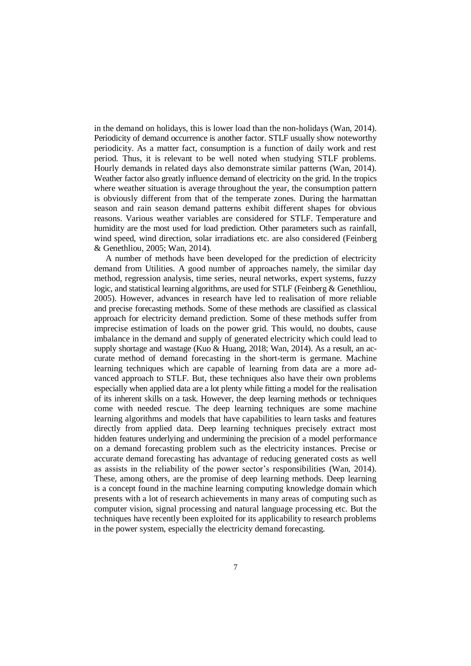in the demand on holidays, this is lower load than the non-holidays (Wan, 2014). Periodicity of demand occurrence is another factor. STLF usually show noteworthy periodicity. As a matter fact, consumption is a function of daily work and rest period. Thus, it is relevant to be well noted when studying STLF problems. Hourly demands in related days also demonstrate similar patterns (Wan, 2014). Weather factor also greatly influence demand of electricity on the grid. In the tropics where weather situation is average throughout the year, the consumption pattern is obviously different from that of the temperate zones. During the harmattan season and rain season demand patterns exhibit different shapes for obvious reasons. Various weather variables are considered for STLF. Temperature and humidity are the most used for load prediction. Other parameters such as rainfall, wind speed, wind direction, solar irradiations etc. are also considered (Feinberg & Genethliou, 2005; Wan, 2014).

A number of methods have been developed for the prediction of electricity demand from Utilities. A good number of approaches namely, the similar day method, regression analysis, time series, neural networks, expert systems, fuzzy logic, and statistical learning algorithms, are used for STLF (Feinberg & Genethliou, 2005). However, advances in research have led to realisation of more reliable and precise forecasting methods. Some of these methods are classified as classical approach for electricity demand prediction. Some of these methods suffer from imprecise estimation of loads on the power grid. This would, no doubts, cause imbalance in the demand and supply of generated electricity which could lead to supply shortage and wastage (Kuo & Huang, 2018; Wan, 2014). As a result, an accurate method of demand forecasting in the short-term is germane. Machine learning techniques which are capable of learning from data are a more advanced approach to STLF. But, these techniques also have their own problems especially when applied data are a lot plenty while fitting a model for the realisation of its inherent skills on a task. However, the deep learning methods or techniques come with needed rescue. The deep learning techniques are some machine learning algorithms and models that have capabilities to learn tasks and features directly from applied data. Deep learning techniques precisely extract most hidden features underlying and undermining the precision of a model performance on a demand forecasting problem such as the electricity instances. Precise or accurate demand forecasting has advantage of reducing generated costs as well as assists in the reliability of the power sector's responsibilities (Wan, 2014). These, among others, are the promise of deep learning methods. Deep learning is a concept found in the machine learning computing knowledge domain which presents with a lot of research achievements in many areas of computing such as computer vision, signal processing and natural language processing etc. But the techniques have recently been exploited for its applicability to research problems in the power system, especially the electricity demand forecasting.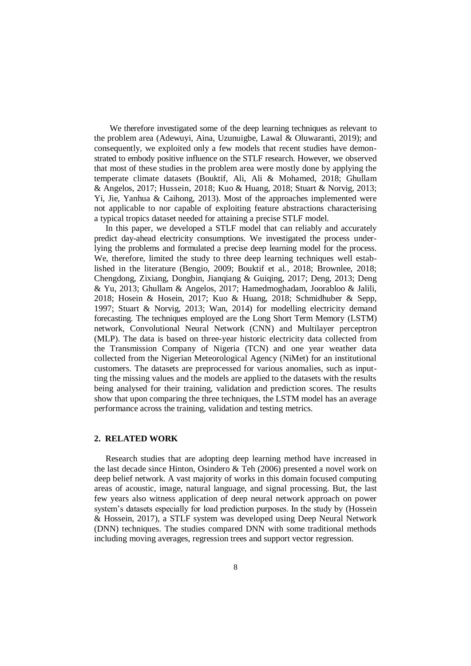We therefore investigated some of the deep learning techniques as relevant to the problem area (Adewuyi*,* Aina, Uzunuigbe, Lawal & Oluwaranti, 2019); and consequently, we exploited only a few models that recent studies have demonstrated to embody positive influence on the STLF research. However, we observed that most of these studies in the problem area were mostly done by applying the temperate climate datasets (Bouktif, Ali, Ali & Mohamed, 2018; Ghullam & Angelos, 2017; Hussein, 2018; Kuo & Huang, 2018; Stuart & Norvig, 2013; Yi, Jie, Yanhua & Caihong, 2013). Most of the approaches implemented were not applicable to nor capable of exploiting feature abstractions characterising a typical tropics dataset needed for attaining a precise STLF model.

In this paper, we developed a STLF model that can reliably and accurately predict day-ahead electricity consumptions. We investigated the process underlying the problems and formulated a precise deep learning model for the process. We, therefore, limited the study to three deep learning techniques well established in the literature (Bengio, 2009; Bouktif et al*.*, 2018; Brownlee, 2018; Chengdong, Zixiang, Dongbin, Jianqiang & Guiqing, 2017; Deng, 2013; Deng & Yu, 2013; Ghullam & Angelos, 2017; Hamedmoghadam, Joorabloo & Jalili, 2018; Hosein & Hosein, 2017; Kuo & Huang, 2018; Schmidhuber & Sepp, 1997; Stuart & Norvig, 2013; Wan, 2014) for modelling electricity demand forecasting. The techniques employed are the Long Short Term Memory (LSTM) network, Convolutional Neural Network (CNN) and Multilayer perceptron (MLP). The data is based on three-year historic electricity data collected from the Transmission Company of Nigeria (TCN) and one year weather data collected from the Nigerian Meteorological Agency (NiMet) for an institutional customers. The datasets are preprocessed for various anomalies, such as inputting the missing values and the models are applied to the datasets with the results being analysed for their training, validation and prediction scores. The results show that upon comparing the three techniques, the LSTM model has an average performance across the training, validation and testing metrics.

#### **2. RELATED WORK**

Research studies that are adopting deep learning method have increased in the last decade since Hinton, Osindero & Teh (2006) presented a novel work on deep belief network. A vast majority of works in this domain focused computing areas of acoustic, image, natural language, and signal processing. But, the last few years also witness application of deep neural network approach on power system's datasets especially for load prediction purposes. In the study by (Hossein & Hossein, 2017), a STLF system was developed using Deep Neural Network (DNN) techniques. The studies compared DNN with some traditional methods including moving averages, regression trees and support vector regression.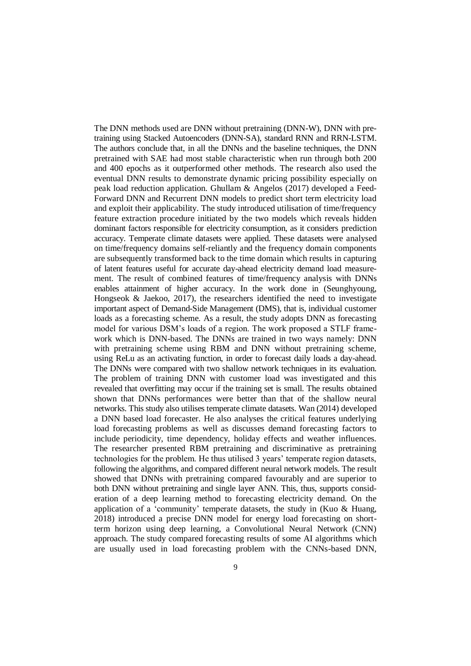The DNN methods used are DNN without pretraining (DNN-W), DNN with pretraining using Stacked Autoencoders (DNN-SA), standard RNN and RRN-LSTM. The authors conclude that, in all the DNNs and the baseline techniques, the DNN pretrained with SAE had most stable characteristic when run through both 200 and 400 epochs as it outperformed other methods. The research also used the eventual DNN results to demonstrate dynamic pricing possibility especially on peak load reduction application. Ghullam & Angelos (2017) developed a Feed-Forward DNN and Recurrent DNN models to predict short term electricity load and exploit their applicability. The study introduced utilisation of time/frequency feature extraction procedure initiated by the two models which reveals hidden dominant factors responsible for electricity consumption, as it considers prediction accuracy. Temperate climate datasets were applied. These datasets were analysed on time/frequency domains self-reliantly and the frequency domain components are subsequently transformed back to the time domain which results in capturing of latent features useful for accurate day-ahead electricity demand load measurement. The result of combined features of time/frequency analysis with DNNs enables attainment of higher accuracy. In the work done in (Seunghyoung, Hongseok & Jaekoo, 2017), the researchers identified the need to investigate important aspect of Demand-Side Management (DMS), that is, individual customer loads as a forecasting scheme. As a result, the study adopts DNN as forecasting model for various DSM's loads of a region. The work proposed a STLF framework which is DNN-based. The DNNs are trained in two ways namely: DNN with pretraining scheme using RBM and DNN without pretraining scheme, using ReLu as an activating function, in order to forecast daily loads a day-ahead. The DNNs were compared with two shallow network techniques in its evaluation. The problem of training DNN with customer load was investigated and this revealed that overfitting may occur if the training set is small. The results obtained shown that DNNs performances were better than that of the shallow neural networks. This study also utilises temperate climate datasets. Wan (2014) developed a DNN based load forecaster. He also analyses the critical features underlying load forecasting problems as well as discusses demand forecasting factors to include periodicity, time dependency, holiday effects and weather influences. The researcher presented RBM pretraining and discriminative as pretraining technologies for the problem. He thus utilised 3 years' temperate region datasets, following the algorithms, and compared different neural network models. The result showed that DNNs with pretraining compared favourably and are superior to both DNN without pretraining and single layer ANN. This, thus, supports consideration of a deep learning method to forecasting electricity demand. On the application of a 'community' temperate datasets, the study in (Kuo  $\&$  Huang, 2018) introduced a precise DNN model for energy load forecasting on shortterm horizon using deep learning, a Convolutional Neural Network (CNN) approach. The study compared forecasting results of some AI algorithms which are usually used in load forecasting problem with the CNNs-based DNN,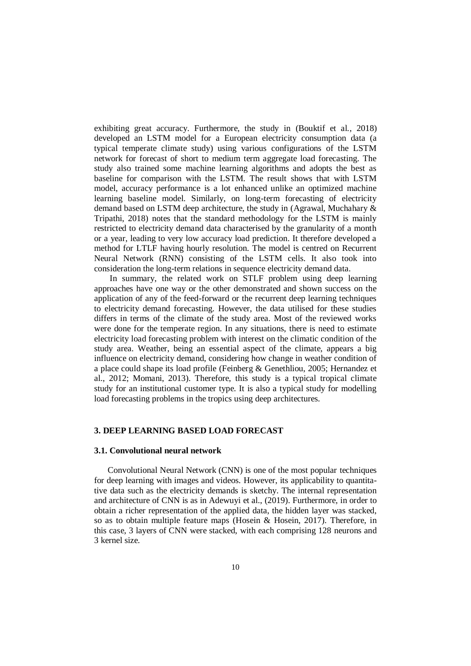exhibiting great accuracy. Furthermore, the study in (Bouktif et al*.,* 2018) developed an LSTM model for a European electricity consumption data (a typical temperate climate study) using various configurations of the LSTM network for forecast of short to medium term aggregate load forecasting. The study also trained some machine learning algorithms and adopts the best as baseline for comparison with the LSTM. The result shows that with LSTM model, accuracy performance is a lot enhanced unlike an optimized machine learning baseline model. Similarly, on long-term forecasting of electricity demand based on LSTM deep architecture, the study in (Agrawal, Muchahary & Tripathi, 2018) notes that the standard methodology for the LSTM is mainly restricted to electricity demand data characterised by the granularity of a month or a year, leading to very low accuracy load prediction. It therefore developed a method for LTLF having hourly resolution. The model is centred on Recurrent Neural Network (RNN) consisting of the LSTM cells. It also took into consideration the long-term relations in sequence electricity demand data.

In summary, the related work on STLF problem using deep learning approaches have one way or the other demonstrated and shown success on the application of any of the feed-forward or the recurrent deep learning techniques to electricity demand forecasting. However, the data utilised for these studies differs in terms of the climate of the study area. Most of the reviewed works were done for the temperate region. In any situations, there is need to estimate electricity load forecasting problem with interest on the climatic condition of the study area. Weather, being an essential aspect of the climate, appears a big influence on electricity demand, considering how change in weather condition of a place could shape its load profile (Feinberg & Genethliou, 2005; Hernandez et al., 2012; Momani, 2013). Therefore, this study is a typical tropical climate study for an institutional customer type. It is also a typical study for modelling load forecasting problems in the tropics using deep architectures.

#### **3. DEEP LEARNING BASED LOAD FORECAST**

#### **3.1. Convolutional neural network**

Convolutional Neural Network (CNN) is one of the most popular techniques for deep learning with images and videos. However, its applicability to quantitative data such as the electricity demands is sketchy. The internal representation and architecture of CNN is as in Adewuyi et al., (2019). Furthermore, in order to obtain a richer representation of the applied data, the hidden layer was stacked, so as to obtain multiple feature maps (Hosein & Hosein, 2017). Therefore, in this case, 3 layers of CNN were stacked, with each comprising 128 neurons and 3 kernel size.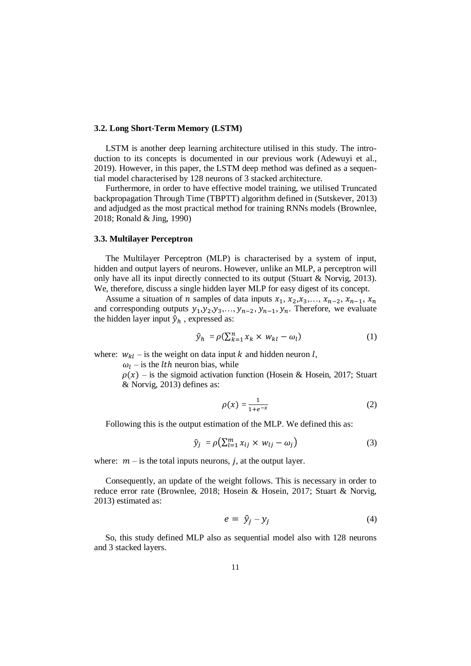## **3.2. Long Short-Term Memory (LSTM)**

LSTM is another deep learning architecture utilised in this study. The introduction to its concepts is documented in our previous work (Adewuyi et al., 2019). However, in this paper, the LSTM deep method was defined as a sequential model characterised by 128 neurons of 3 stacked architecture.

Furthermore, in order to have effective model training, we utilised Truncated backpropagation Through Time (TBPTT) algorithm defined in (Sutskever, 2013) and adjudged as the most practical method for training RNNs models (Brownlee, 2018; Ronald & Jing, 1990)

## **3.3. Multilayer Perceptron**

The Multilayer Perceptron (MLP) is characterised by a system of input, hidden and output layers of neurons. However, unlike an MLP, a perceptron will only have all its input directly connected to its output (Stuart & Norvig, 2013). We, therefore, discuss a single hidden layer MLP for easy digest of its concept.

Assume a situation of *n* samples of data inputs  $x_1, x_2, x_3, \ldots, x_{n-2}, x_{n-1}, x_n$ and corresponding outputs  $y_1, y_2, y_3, \ldots, y_{n-2}, y_{n-1}, y_n$ . Therefore, we evaluate the hidden layer input  $\hat{y}_h$ , expressed as:

$$
\hat{y}_h = \rho(\sum_{k=1}^n x_k \times w_{kl} - \omega_l) \tag{1}
$$

where:  $w_{kl}$  – is the weight on data input k and hidden neuron l,

 $\omega_l$  – is the *lth* neuron bias, while

 $\rho(x)$  – is the sigmoid activation function (Hosein & Hosein, 2017; Stuart & Norvig, 2013) defines as:

$$
\rho(x) = \frac{1}{1 + e^{-x}}\tag{2}
$$

Following this is the output estimation of the MLP. We defined this as:

$$
\hat{y}_j = \rho \left( \sum_{l=1}^m x_{lj} \times w_{lj} - \omega_j \right) \tag{3}
$$

where:  $m -$  is the total inputs neurons, *i*, at the output layer.

Consequently, an update of the weight follows. This is necessary in order to reduce error rate (Brownlee, 2018; Hosein & Hosein, 2017; Stuart & Norvig, 2013) estimated as:

$$
e = \hat{y}_j - y_j \tag{4}
$$

So, this study defined MLP also as sequential model also with 128 neurons and 3 stacked layers.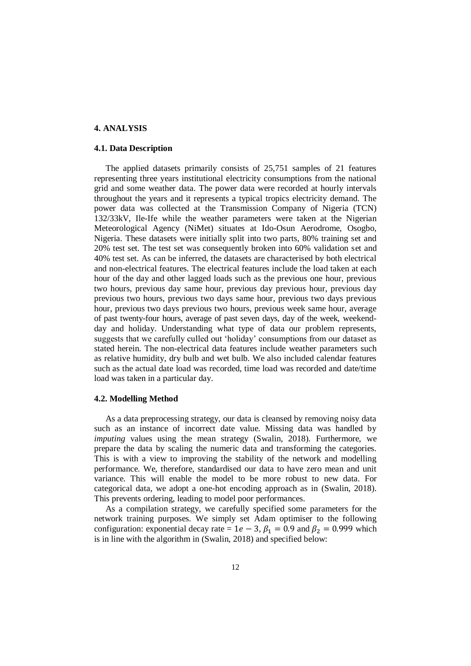## **4. ANALYSIS**

## **4.1. Data Description**

The applied datasets primarily consists of 25,751 samples of 21 features representing three years institutional electricity consumptions from the national grid and some weather data. The power data were recorded at hourly intervals throughout the years and it represents a typical tropics electricity demand. The power data was collected at the Transmission Company of Nigeria (TCN) 132/33kV, Ile-Ife while the weather parameters were taken at the Nigerian Meteorological Agency (NiMet) situates at Ido-Osun Aerodrome, Osogbo, Nigeria. These datasets were initially split into two parts, 80% training set and 20% test set. The test set was consequently broken into 60% validation set and 40% test set. As can be inferred, the datasets are characterised by both electrical and non-electrical features. The electrical features include the load taken at each hour of the day and other lagged loads such as the previous one hour, previous two hours, previous day same hour, previous day previous hour, previous day previous two hours, previous two days same hour, previous two days previous hour, previous two days previous two hours, previous week same hour, average of past twenty-four hours, average of past seven days, day of the week, weekendday and holiday. Understanding what type of data our problem represents, suggests that we carefully culled out 'holiday' consumptions from our dataset as stated herein. The non-electrical data features include weather parameters such as relative humidity, dry bulb and wet bulb. We also included calendar features such as the actual date load was recorded, time load was recorded and date/time load was taken in a particular day.

## **4.2. Modelling Method**

As a data preprocessing strategy, our data is cleansed by removing noisy data such as an instance of incorrect date value. Missing data was handled by *imputing* values using the mean strategy (Swalin, 2018). Furthermore, we prepare the data by scaling the numeric data and transforming the categories. This is with a view to improving the stability of the network and modelling performance. We, therefore, standardised our data to have zero mean and unit variance. This will enable the model to be more robust to new data. For categorical data, we adopt a one-hot encoding approach as in (Swalin, 2018). This prevents ordering, leading to model poor performances.

As a compilation strategy, we carefully specified some parameters for the network training purposes. We simply set Adam optimiser to the following configuration: exponential decay rate =  $1e - 3$ ,  $\beta_1 = 0.9$  and  $\beta_2 = 0.999$  which is in line with the algorithm in (Swalin, 2018) and specified below: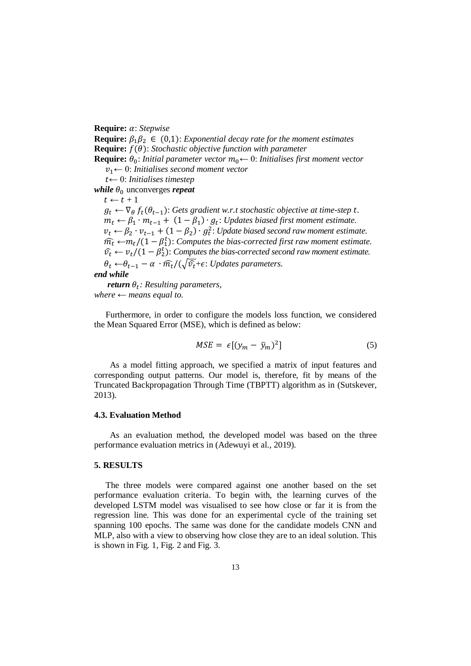**Require:** *α*: *Stepwise* 

**Require:**  $\beta_1 \beta_2 \in (0,1)$ : *Exponential decay rate for the moment estimates* **Require:**  $f(\theta)$ : *Stochastic objective function with parameter* **Require:**  $\theta_0$ : *Initial parameter vector*  $m_0 \leftarrow 0$ : *Initialises first moment vector* 1← 0: *Initialises second moment vector* ← 0: *Initialises timestep while*  $\theta_0$  unconverges *repeat*  $t \leftarrow t + 1$  $g_t \leftarrow \nabla_{\theta} f_t(\theta_{t-1})$ : *Gets gradient w.r.t stochastic objective at time-step t.*  $m_t \leftarrow \beta_1 \cdot m_{t-1} + (1 - \beta_1) \cdot g_t$ : *Updates biased first moment estimate.*  $v_t \leftarrow \beta_2 \cdot v_{t-1} + (1 - \beta_2) \cdot g_t^2$ : *Update biased second raw moment estimate.*  $m_t$  ← $m_t$ /(1 −  $\beta_1^t$ ): *Computes the bias-corrected first raw moment estimate.*  $\hat{v}_t \leftarrow v_t/(1 - \beta_2^t)$ : *Computes the bias-corrected second raw moment estimate.*  $\theta_t \leftarrow \theta_{t-1} - \alpha \cdot \widehat{m_t}/(\sqrt{\widehat{v_t}} + \epsilon)$ : *Updates parameters. end while*

*return*  $\theta_t$ : Resulting parameters,  $where \leftarrow means equal to$ .

Furthermore, in order to configure the models loss function, we considered the Mean Squared Error (MSE), which is defined as below:

$$
MSE = \epsilon [(y_m - \bar{y}_m)^2]
$$
 (5)

As a model fitting approach, we specified a matrix of input features and corresponding output patterns. Our model is, therefore, fit by means of the Truncated Backpropagation Through Time (TBPTT) algorithm as in (Sutskever, 2013).

#### **4.3. Evaluation Method**

As an evaluation method, the developed model was based on the three performance evaluation metrics in (Adewuyi et al., 2019).

#### **5. RESULTS**

The three models were compared against one another based on the set performance evaluation criteria. To begin with, the learning curves of the developed LSTM model was visualised to see how close or far it is from the regression line. This was done for an experimental cycle of the training set spanning 100 epochs. The same was done for the candidate models CNN and MLP, also with a view to observing how close they are to an ideal solution. This is shown in Fig. 1, Fig. 2 and Fig. 3.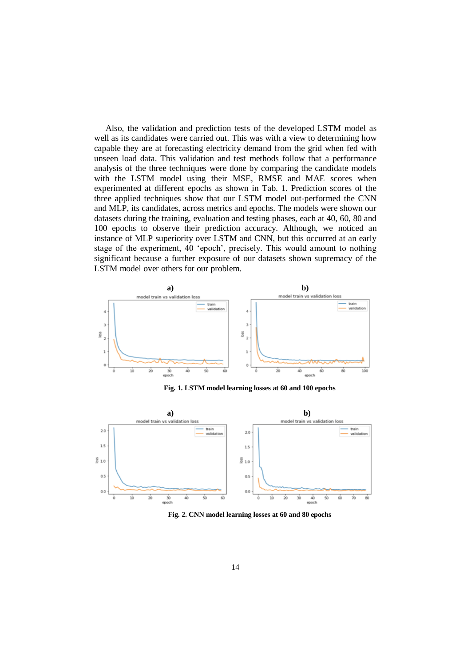Also, the validation and prediction tests of the developed LSTM model as well as its candidates were carried out. This was with a view to determining how capable they are at forecasting electricity demand from the grid when fed with unseen load data. This validation and test methods follow that a performance analysis of the three techniques were done by comparing the candidate models with the LSTM model using their MSE, RMSE and MAE scores when experimented at different epochs as shown in Tab. 1. Prediction scores of the three applied techniques show that our LSTM model out-performed the CNN and MLP, its candidates, across metrics and epochs. The models were shown our datasets during the training, evaluation and testing phases, each at 40, 60, 80 and 100 epochs to observe their prediction accuracy. Although, we noticed an instance of MLP superiority over LSTM and CNN, but this occurred at an early stage of the experiment, 40 'epoch', precisely. This would amount to nothing significant because a further exposure of our datasets shown supremacy of the LSTM model over others for our problem.



**Fig. 1. LSTM model learning losses at 60 and 100 epochs**



**Fig. 2. CNN model learning losses at 60 and 80 epochs**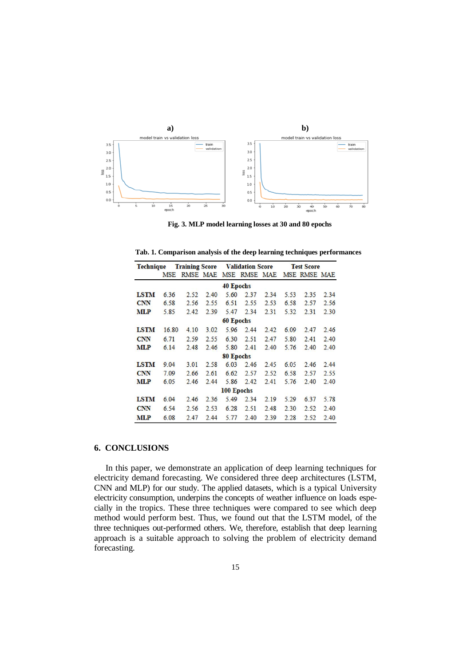

**Fig. 3. MLP model learning losses at 30 and 80 epochs**

 **Tab. 1. Comparison analysis of the deep learning techniques performances**

| <b>Technique</b> |            | <b>Training Score</b> |      | <b>Validation Score</b> |                       |      | <b>Test Score</b> |              |      |
|------------------|------------|-----------------------|------|-------------------------|-----------------------|------|-------------------|--------------|------|
|                  | <b>MSE</b> |                       |      |                         | RMSE MAE MSE RMSE MAE |      |                   | MSE RMSE MAE |      |
|                  |            |                       |      | <b>40 Epochs</b>        |                       |      |                   |              |      |
| <b>LSTM</b>      | 6.36       | 2.52                  | 2.40 | 5.60                    | 2.37                  | 2.34 | 5.53              | 2.35         | 2.34 |
| <b>CNN</b>       | 6.58       | 2.56                  | 2.55 | 6.51                    | 2.55                  | 2.53 | 6.58              | 2.57         | 2.56 |
| <b>MLP</b>       | 5.85       | 2.42                  | 2.39 | 5.47                    | 2.34                  | 2.31 | 5.32              | 2.31         | 2.30 |
|                  |            |                       |      | 60 Epochs               |                       |      |                   |              |      |
| LSTM             | 16.80      | 4.10                  | 3.02 | 5.96                    | 2.44                  | 2.42 | 6.09              | 2.47         | 2.46 |
| <b>CNN</b>       | 6.71       | 2.59                  | 2.55 | 6.30                    | 2.51                  | 2.47 | 5.80              | 2.41         | 2.40 |
| <b>MLP</b>       | 6.14       | 2.48                  | 2.46 | 5.80                    | 2.41                  | 2.40 | 5.76              | 2.40         | 2.40 |
|                  |            |                       |      | 80 Epochs               |                       |      |                   |              |      |
| <b>LSTM</b>      | 9.04       | 3.01                  | 2.58 | 6.03                    | 2.46                  | 2.45 | 6.05              | 2.46         | 2.44 |
| <b>CNN</b>       | 7.09       | 2.66                  | 2.61 | 6.62                    | 2.57                  | 2.52 | 6.58              | 2.57         | 2.55 |
| <b>MLP</b>       | 6.05       | 2.46                  | 2.44 | 5.86                    | 2.42                  | 2.41 | 5.76              | 2.40         | 2.40 |
|                  |            |                       |      | 100 Epochs              |                       |      |                   |              |      |
| LSTM             | 6.04       | 2.46                  | 2.36 | 5.49                    | 2.34                  | 2.19 | 5.29              | 6.37         | 5.78 |
| <b>CNN</b>       | 6.54       | 2.56                  | 2.53 | 6.28                    | 2.51                  | 2.48 | 2.30              | 2.52         | 2.40 |
| MLP              | 6.08       | 2.47                  | 2.44 | 5.77                    | 2.40                  | 2.39 | 2.28              | 2.52         | 2.40 |

## **6. CONCLUSIONS**

In this paper, we demonstrate an application of deep learning techniques for electricity demand forecasting. We considered three deep architectures (LSTM, CNN and MLP) for our study. The applied datasets, which is a typical University electricity consumption, underpins the concepts of weather influence on loads especially in the tropics. These three techniques were compared to see which deep method would perform best. Thus, we found out that the LSTM model, of the three techniques out-performed others. We, therefore, establish that deep learning approach is a suitable approach to solving the problem of electricity demand forecasting.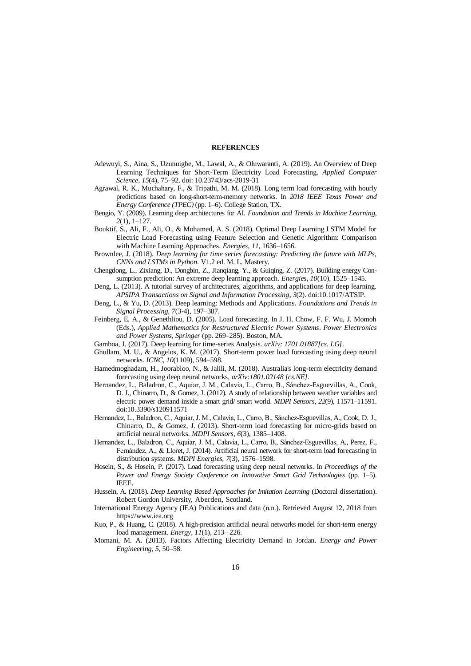#### **REFERENCES**

- Adewuyi, S., Aina, S., Uzunuigbe, M., Lawal, A., & Oluwaranti, A. (2019). An Overview of Deep Learning Techniques for Short-Term Electricity Load Forecasting. *Applied Computer Science*, *15*(4), 75–92. doi: 10.23743/acs-2019-31
- Agrawal, R. K., Muchahary, F., & Tripathi, M. M. (2018). Long term load forecasting with hourly predictions based on long-short-term-memory networks. In *2018 IEEE Texas Power and Energy Conference (TPEC)* (pp. 1–6). College Station, TX.
- Bengio, Y. (2009). Learning deep architectures for AI. *Foundation and Trends in Machine Learning*, *2*(1), 1–127.
- Bouktif, S., Ali, F., Ali, O., & Mohamed, A. S. (2018). Optimal Deep Learning LSTM Model for Electric Load Forecasting using Feature Selection and Genetic Algorithm: Comparison with Machine Learning Approaches. *Energies*, *11*, 1636–1656.
- Brownlee, J. (2018). *Deep learning for time series forecasting: Predicting the future with MLPs, CNNs and LSTMs in Python*. V1.2 ed. M. L. Mastery.
- Chengdong, L., Zixiang, D., Dongbin, Z., Jianqiang, Y., & Guiqing, Z. (2017). Building energy Consumption prediction: An extreme deep learning approach. *Energies, 10*(10), 1525–1545.
- Deng, L. (2013). A tutorial survey of architectures, algorithms, and applications for deep learning. *APSIPA Transactions on Signal and Information Processing*, *3*(2). doi:10.1017/ATSIP.
- Deng, L., & Yu, D. (2013). Deep learning: Methods and Applications. *Foundations and Trends in Signal Processing, 7*(3-4), 197–387.
- Feinberg, E. A., & Genethliou, D. (2005). Load forecasting. In J. H. Chow, F. F. Wu, J. Momoh (Eds.), *Applied Mathematics for Restructured Electric Power Systems*. *Power Electronics and Power Systems, Springer* (pp. 269–285). Boston, MA.
- Gamboa, J. (2017). Deep learning for time-series Analysis. *arXiv: 1701.01887[cs. LG]*.
- Ghullam, M. U., & Angelos, K. M. (2017). Short-term power load forecasting using deep neural networks. *ICNC*, *10*(1109), 594–598.
- Hamedmoghadam, H., Joorabloo, N., & Jalili, M. (2018). Australia's long-term electricity demand forecasting using deep neural networks, *arXiv:1801.02148 [cs.NE]*.
- Hernandez, L., Baladron, C., Aquiar, J. M., Calavia, L., Carro, B., Sánchez-Esguevillas, A., Cook, D. J., Chinarro, D., & Gomez, J. (2012). A study of relationship between weather variables and electric power demand inside a smart grid/ smart world. *MDPI Sensors*, *22*(9), 11571–11591. doi:10.3390/s120911571
- Hernandez, L., Baladron, C., Aquiar, J. M., Calavia, L., Carro, B., Sánchez-Esguevillas, A., Cook, D. J., Chinarro, D., & Gomez, J. (2013). Short-term load forecasting for micro-grids based on artificial neural networks. *MDPI Sensors*, *6*(3), 1385–1408.
- Hernandez, L., Baladron, C., Aquiar, J. M., Calavia, L., Carro, B., Sánchez-Esguevillas, A., Perez, F., Fernández, A., & Lloret, J. (2014). Artificial neural network for short-term load forecasting in distribution systems. *MDPI Energies, 7*(3), 1576–1598.
- Hosein, S., & Hosein, P. (2017). Load forecasting using deep neural networks. In *Proceedings of the Power and Energy Society Conference on Innovative Smart Grid Technologies (pp. 1–5).* IEEE.
- Hussein, A. (2018). *Deep Learning Based Approaches for Imitation Learning* (Doctoral dissertation). Robert Gordon University, Aberden, Scotland.
- International Energy Agency (IEA) Publications and data (n.n.). Retrieved August 12, 2018 from https://www.iea.org
- Kuo, P., & Huang, C. (2018). A high-precision artificial neural networks model for short-term energy load management. *Energy, 11*(1), 213– 226.
- Momani, M. A. (2013). Factors Affecting Electricity Demand in Jordan. *Energy and Power Engineering*, *5*, 50–58.